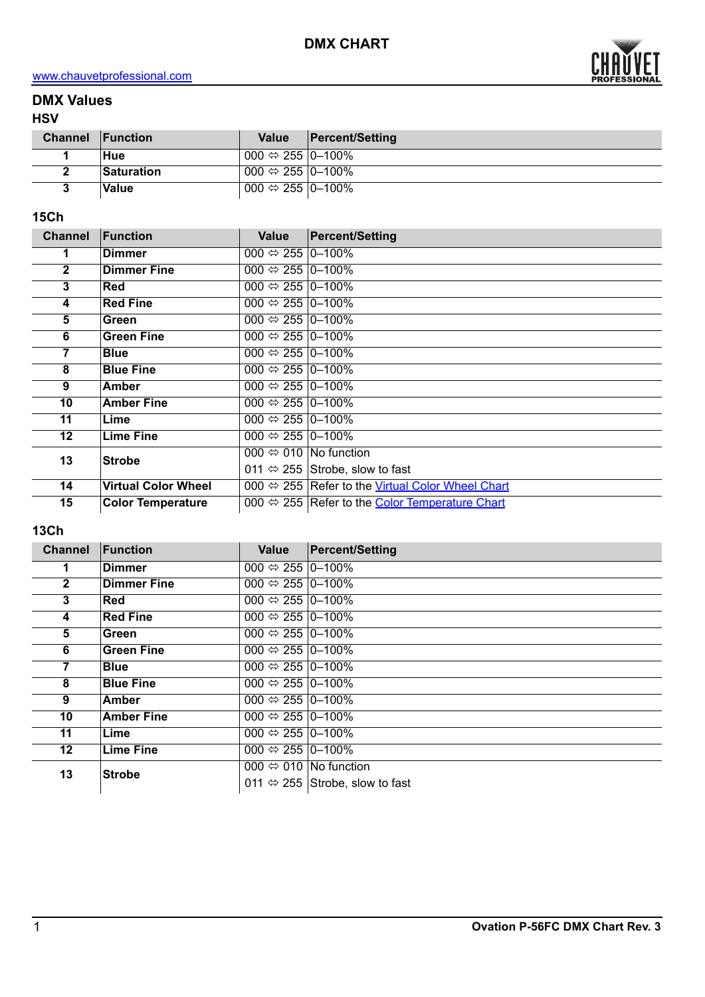

# **DMX Values**

### **HSV**

| <b>Channel Function</b> |                   | <b>Value</b>                                                  | <b>Percent/Setting</b> |
|-------------------------|-------------------|---------------------------------------------------------------|------------------------|
|                         | Hue               | 000 $\Leftrightarrow$ 255  0−100%                             |                        |
|                         | <b>Saturation</b> | 000 $\Leftrightarrow$ 255  0−100%                             |                        |
|                         | Value             | $^{\circ}$ 000 $\Leftrightarrow$ 255 $ 0 - \overline{100\%} $ |                        |

## **15Ch**

| <b>Channel</b>  | Function                   | Value                                 | <b>Percent/Setting</b>                                         |
|-----------------|----------------------------|---------------------------------------|----------------------------------------------------------------|
| 1               | <b>Dimmer</b>              | 000 $\Leftrightarrow$ 255  0–100%     |                                                                |
| $\mathbf{2}$    | <b>Dimmer Fine</b>         | 000 $\Leftrightarrow$ 255  0–100%     |                                                                |
| 3               | Red                        | 000 $\Leftrightarrow$ 255 0-100%      |                                                                |
| 4               | <b>Red Fine</b>            | 000 $\Leftrightarrow$ 255 $ 0-100\% $ |                                                                |
| 5               | Green                      | 000 $\Leftrightarrow$ 255   0-100%    |                                                                |
| 6               | <b>Green Fine</b>          | 000 $\Leftrightarrow$ 255 $ 0-100\% $ |                                                                |
| 7               | <b>Blue</b>                | 000 $\Leftrightarrow$ 255  0–100%     |                                                                |
| 8               | <b>Blue Fine</b>           | 000 $\Leftrightarrow$ 255  0–100%     |                                                                |
| 9               | <b>Amber</b>               | 000 $\Leftrightarrow$ 255 0-100%      |                                                                |
| 10              | <b>Amber Fine</b>          | 000 $\Leftrightarrow$ 255  0–100%     |                                                                |
| 11              | Lime                       | 000 $\Leftrightarrow$ 255   0-100%    |                                                                |
| 12 <sup>2</sup> | <b>Lime Fine</b>           | 000 $\Leftrightarrow$ 255  0-100%     |                                                                |
| 13              | <b>Strobe</b>              |                                       | 000 $\Leftrightarrow$ 010   No function                        |
|                 |                            |                                       | 011 $\Leftrightarrow$ 255 Strobe, slow to fast                 |
| 14              | <b>Virtual Color Wheel</b> |                                       | 000 ⇔ 255 Refer to the Virtual Color Wheel Chart               |
| 15              | <b>Color Temperature</b>   |                                       | 000 $\Leftrightarrow$ 255 Refer to the Color Temperature Chart |

## **13Ch**

| Function           | <b>Value</b>                         | <b>Percent/Setting</b>                         |
|--------------------|--------------------------------------|------------------------------------------------|
| <b>Dimmer</b>      | 000 $\Leftrightarrow$ 255 0-100%     |                                                |
| <b>Dimmer Fine</b> | 000 $\Leftrightarrow$ 255 $ 0-100\%$ |                                                |
| <b>Red</b>         | 000 $\Leftrightarrow$ 255 0-100%     |                                                |
| <b>Red Fine</b>    | 000 $\Leftrightarrow$ 255 0–100%     |                                                |
| Green              | 000 $\Leftrightarrow$ 255 0-100%     |                                                |
| <b>Green Fine</b>  | 000 $\Leftrightarrow$ 255 0-100%     |                                                |
| <b>Blue</b>        | 000 $\Leftrightarrow$ 255 0-100%     |                                                |
| <b>Blue Fine</b>   | 000 $\Leftrightarrow$ 255 0-100%     |                                                |
| Amber              | 000 $\Leftrightarrow$ 255 0-100%     |                                                |
| <b>Amber Fine</b>  | 000 $\Leftrightarrow$ 255 0-100%     |                                                |
| Lime               | 000 $\Leftrightarrow$ 255 0-100%     |                                                |
| <b>Lime Fine</b>   | 000 $\Leftrightarrow$ 255 0-100%     |                                                |
|                    |                                      | 000 $\Leftrightarrow$ 010  No function         |
|                    |                                      | 011 $\Leftrightarrow$ 255 Strobe, slow to fast |
|                    | <b>Strobe</b>                        |                                                |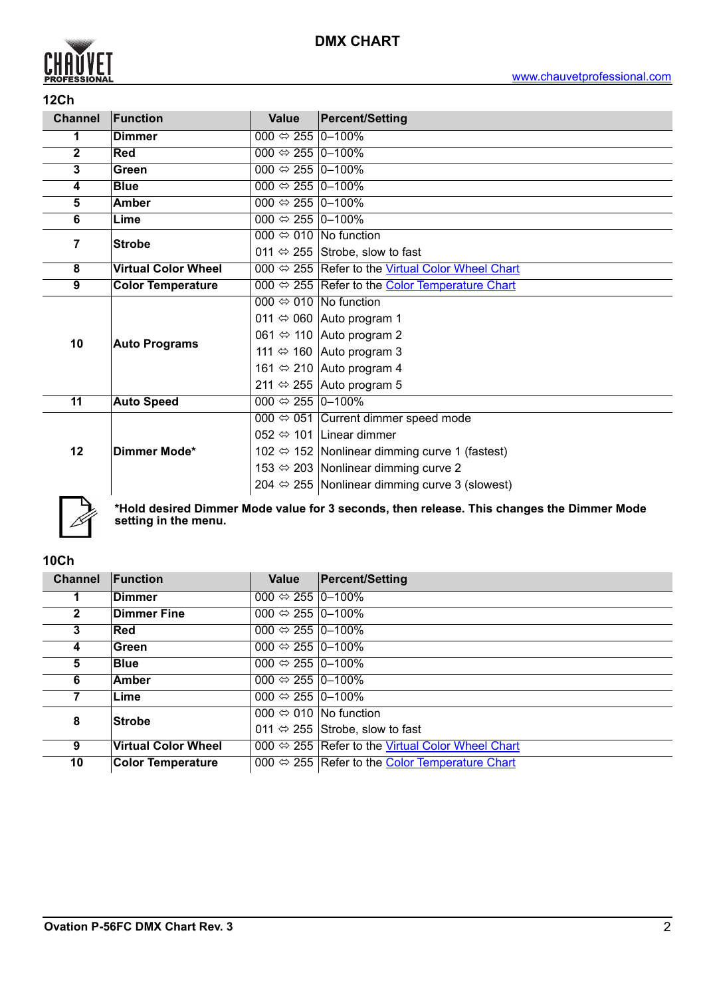

### **12Ch**

| <b>Channel</b> | Function                                       | <b>Value</b>                     | <b>Percent/Setting</b>                                        |  |  |  |
|----------------|------------------------------------------------|----------------------------------|---------------------------------------------------------------|--|--|--|
| 1              | <b>Dimmer</b>                                  | 000 $\Leftrightarrow$ 255 0-100% |                                                               |  |  |  |
| $\overline{2}$ | 000 $\Leftrightarrow$ 255 0-100%<br><b>Red</b> |                                  |                                                               |  |  |  |
| 3              | Green                                          | 000 $\Leftrightarrow$ 255 0-100% |                                                               |  |  |  |
| 4              | <b>Blue</b>                                    | 000 $\Leftrightarrow$ 255 0-100% |                                                               |  |  |  |
| 5              | Amber                                          | 000 $\Leftrightarrow$ 255 0-100% |                                                               |  |  |  |
| 6              | Lime                                           | 000 $\Leftrightarrow$ 255 0-100% |                                                               |  |  |  |
| $\overline{7}$ | <b>Strobe</b>                                  |                                  | 000 $\Leftrightarrow$ 010 No function                         |  |  |  |
|                |                                                |                                  | 011 $\Leftrightarrow$ 255 Strobe, slow to fast                |  |  |  |
| 8              | <b>Virtual Color Wheel</b>                     |                                  | 000 ⇔ 255 Refer to the Virtual Color Wheel Chart              |  |  |  |
| 9              | <b>Color Temperature</b>                       |                                  | 000 ⇔ 255 Refer to the Color Temperature Chart                |  |  |  |
|                | <b>Auto Programs</b>                           |                                  | 000 $\Leftrightarrow$ 010 No function                         |  |  |  |
|                |                                                |                                  | 011 $\Leftrightarrow$ 060 Auto program 1                      |  |  |  |
| 10             |                                                |                                  | 061 $\Leftrightarrow$ 110 Auto program 2                      |  |  |  |
|                |                                                |                                  | 111 $\Leftrightarrow$ 160 Auto program 3                      |  |  |  |
|                |                                                |                                  | 161 $\Leftrightarrow$ 210 Auto program 4                      |  |  |  |
|                |                                                |                                  | 211 $\Leftrightarrow$ 255 Auto program 5                      |  |  |  |
| 11             | <b>Auto Speed</b>                              | 000 $\Leftrightarrow$ 255 0-100% |                                                               |  |  |  |
|                |                                                |                                  | 000 $\Leftrightarrow$ 051 Current dimmer speed mode           |  |  |  |
|                |                                                |                                  | 052 $\Leftrightarrow$ 101 Linear dimmer                       |  |  |  |
| 12             | Dimmer Mode*                                   |                                  | 102 ⇔ 152 Nonlinear dimming curve 1 (fastest)                 |  |  |  |
|                |                                                |                                  | 153 ⇔ 203 Nonlinear dimming curve 2                           |  |  |  |
|                |                                                |                                  | 204 $\Leftrightarrow$ 255 Nonlinear dimming curve 3 (slowest) |  |  |  |
|                |                                                |                                  |                                                               |  |  |  |



**\*Hold desired Dimmer Mode value for 3 seconds, then release. This changes the Dimmer Mode setting in the menu.**

## **10Ch**

| <b>Channel</b> | Function                   | Value                            | <b>Percent/Setting</b>                                           |
|----------------|----------------------------|----------------------------------|------------------------------------------------------------------|
|                | Dimmer                     | 000 $\Leftrightarrow$ 255 0–100% |                                                                  |
| $\mathbf{2}$   | <b>Dimmer Fine</b>         | 000 $\Leftrightarrow$ 255 0-100% |                                                                  |
| 3              | <b>Red</b>                 | 000 $\Leftrightarrow$ 255 0-100% |                                                                  |
| 4              | Green                      | 000 $\Leftrightarrow$ 255 0–100% |                                                                  |
| 5              | <b>Blue</b>                | 000 $\Leftrightarrow$ 255 0-100% |                                                                  |
| 6              | Amber                      | 000 $\Leftrightarrow$ 255 0-100% |                                                                  |
| 7              | Lime                       | 000 $\Leftrightarrow$ 255 0-100% |                                                                  |
| 8              | <b>Strobe</b>              |                                  | 000 $\Leftrightarrow$ 010   No function                          |
|                |                            |                                  | 011 $\Leftrightarrow$ 255 Strobe, slow to fast                   |
| 9              | <b>Virtual Color Wheel</b> |                                  | 000 $\Leftrightarrow$ 255 Refer to the Virtual Color Wheel Chart |
| 10             | <b>Color Temperature</b>   |                                  | 000 $\Leftrightarrow$ 255 Refer to the Color Temperature Chart   |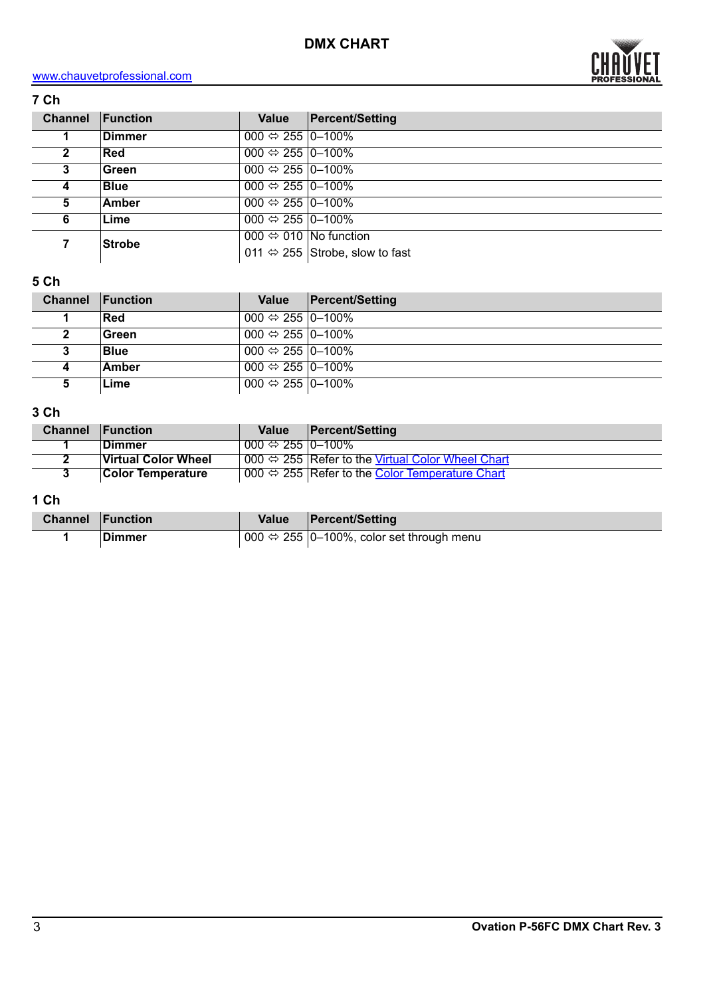

| <b>Channel</b> | Function      | <b>Value</b>                     | <b>Percent/Setting</b>                         |
|----------------|---------------|----------------------------------|------------------------------------------------|
|                | <b>Dimmer</b> | 000 $\Leftrightarrow$ 255 0-100% |                                                |
| 2              | <b>Red</b>    | 000 $\Leftrightarrow$ 255 0–100% |                                                |
| 3              | Green         | 000 $\Leftrightarrow$ 255 0-100% |                                                |
|                | <b>Blue</b>   | 000 $\Leftrightarrow$ 255 0-100% |                                                |
| 5              | Amber         | 000 $\Leftrightarrow$ 255 0-100% |                                                |
| 6              | Lime          | 000 $\Leftrightarrow$ 255 0-100% |                                                |
|                | <b>Strobe</b> |                                  | 000 $\Leftrightarrow$ 010 No function          |
|                |               |                                  | 011 $\Leftrightarrow$ 255 Strobe, slow to fast |

## **5 Ch**

| <b>Channel</b> | <b>Function</b> | Value                                   | <b>Percent/Setting</b> |
|----------------|-----------------|-----------------------------------------|------------------------|
|                | Red             | 000 $\Leftrightarrow$ 255 $\mid$ 0-100% |                        |
|                | Green           | 000 $\Leftrightarrow$ 255 0-100%        |                        |
|                | <b>Blue</b>     | 000 $\Leftrightarrow$ 255 0-100%        |                        |
| 4              | Amber           | 000 $\Leftrightarrow$ 255 $ 0-100\% $   |                        |
| 5              | Lime            | $1000 \Leftrightarrow 25510 - 100\%$    |                        |

## **3 Ch**

| <b>Channel</b> | <b>Function</b>          | <b>Value</b>                            | <b>Percent/Setting</b>                                           |
|----------------|--------------------------|-----------------------------------------|------------------------------------------------------------------|
|                | ∣Dimmer                  | $000 \Leftrightarrow 255 \, 10 - 100\%$ |                                                                  |
|                | Virtual Color Wheel      |                                         | 000 $\Leftrightarrow$ 255 Refer to the Virtual Color Wheel Chart |
|                | <b>Color Temperature</b> |                                         | 000 $\Leftrightarrow$ 255 Refer to the Color Temperature Chart   |

## **1 Ch**

| <b>Channel Function</b> |         | Value | <b>Percent/Setting</b>                                   |
|-------------------------|---------|-------|----------------------------------------------------------|
|                         | ∣Dimmer |       | 000 $\Leftrightarrow$ 255 0-100%, color set through menu |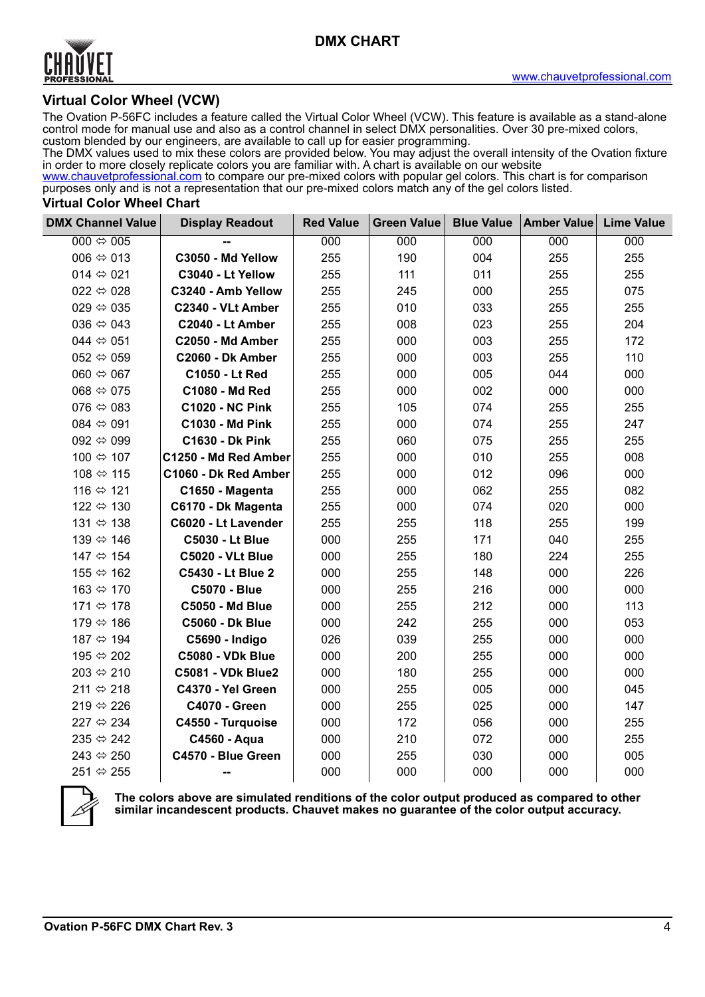

### **Virtual Color Wheel (VCW)**

The Ovation P-56FC includes a feature called the Virtual Color Wheel (VCW). This feature is available as a stand-alone control mode for manual use and also as a control channel in select DMX personalities. Over 30 pre-mixed colors, custom blended by our engineers, are available to call up for easier programming.

The DMX values used to mix these colors are provided below. You may adjust the overall intensity of the Ovation fixture in order to more closely replicate colors you are familiar with. A chart is available on our website

[www.chauvetprofessional.com](http://www.chauvetprofessional.com) to compare our pre-mixed colors with popular gel colors. This chart is for comparison purposes only and is not a representation that our pre-mixed colors match any of the gel colors listed.

#### <span id="page-3-0"></span>**Virtual Color Wheel Chart**

| <b>DMX Channel Value</b>  | <b>Display Readout</b>   | <b>Red Value</b> | <b>Green Value</b> | <b>Blue Value</b> | <b>Amber Value</b> | <b>Lime Value</b> |
|---------------------------|--------------------------|------------------|--------------------|-------------------|--------------------|-------------------|
| 000 $\Leftrightarrow$ 005 |                          | 000              | 000                | 000               | 000                | 000               |
| 006 $\Leftrightarrow$ 013 | C3050 - Md Yellow        | 255              | 190                | 004               | 255                | 255               |
| 014 $\Leftrightarrow$ 021 | C3040 - Lt Yellow        | 255              | 111                | 011               | 255                | 255               |
| 022 $\Leftrightarrow$ 028 | C3240 - Amb Yellow       | 255              | 245                | 000               | 255                | 075               |
| 029 $\Leftrightarrow$ 035 | C2340 - VLt Amber        | 255              | 010                | 033               | 255                | 255               |
| 036 $\Leftrightarrow$ 043 | C2040 - Lt Amber         | 255              | 008                | 023               | 255                | 204               |
| 044 $\Leftrightarrow$ 051 | C2050 - Md Amber         | 255              | 000                | 003               | 255                | 172               |
| 052 $\Leftrightarrow$ 059 | C2060 - Dk Amber         | 255              | 000                | 003               | 255                | 110               |
| 060 $\Leftrightarrow$ 067 | C1050 - Lt Red           | 255              | 000                | 005               | 044                | 000               |
| 068 $\Leftrightarrow$ 075 | C1080 - Md Red           | 255              | 000                | 002               | 000                | 000               |
| 076 $\Leftrightarrow$ 083 | <b>C1020 - NC Pink</b>   | 255              | 105                | 074               | 255                | 255               |
| 084 $\Leftrightarrow$ 091 | <b>C1030 - Md Pink</b>   | 255              | 000                | 074               | 255                | 247               |
| 092 $\Leftrightarrow$ 099 | <b>C1630 - Dk Pink</b>   | 255              | 060                | 075               | 255                | 255               |
| 100 ⇔ 107                 | C1250 - Md Red Amber     | 255              | 000                | 010               | 255                | 008               |
| 108 ⇔ 115                 | C1060 - Dk Red Amber     | 255              | 000                | 012               | 096                | 000               |
| 116 ⇔ 121                 | C1650 - Magenta          | 255              | 000                | 062               | 255                | 082               |
| 122 ⇔ 130                 | C6170 - Dk Magenta       | 255              | 000                | 074               | 020                | 000               |
| 131 ⇔ 138                 | C6020 - Lt Lavender      | 255              | 255                | 118               | 255                | 199               |
| 139 ⇔ 146                 | <b>C5030 - Lt Blue</b>   | 000              | 255                | 171               | 040                | 255               |
| 147 ⇔ 154                 | <b>C5020 - VLt Blue</b>  | 000              | 255                | 180               | 224                | 255               |
| 155 ⇔ 162                 | C5430 - Lt Blue 2        | 000              | 255                | 148               | 000                | 226               |
| 163 ⇔ 170                 | <b>C5070 - Blue</b>      | 000              | 255                | 216               | 000                | 000               |
| 171 ⇔ 178                 | <b>C5050 - Md Blue</b>   | 000              | 255                | 212               | 000                | 113               |
| 179 ⇔ 186                 | <b>C5060 - Dk Blue</b>   | 000              | 242                | 255               | 000                | 053               |
| 187 ⇔ 194                 | C5690 - Indigo           | 026              | 039                | 255               | 000                | 000               |
| 195 ⇔ 202                 | <b>C5080 - VDk Blue</b>  | 000              | 200                | 255               | 000                | 000               |
| 203 ⇔ 210                 | <b>C5081 - VDk Blue2</b> | 000              | 180                | 255               | 000                | 000               |
| 211 ⇔ 218                 | C4370 - Yel Green        | 000              | 255                | 005               | 000                | 045               |
| 219 $\Leftrightarrow$ 226 | <b>C4070 - Green</b>     | 000              | 255                | 025               | 000                | 147               |
| 227 $\Leftrightarrow$ 234 | C4550 - Turquoise        | 000              | 172                | 056               | 000                | 255               |
| 235 ⇔ 242                 | C4560 - Aqua             | 000              | 210                | 072               | 000                | 255               |
| 243 ⇔ 250                 | C4570 - Blue Green       | 000              | 255                | 030               | 000                | 005               |
| 251 ⇔ 255                 | --                       | 000              | 000                | 000               | 000                | 000               |



**The colors above are simulated renditions of the color output produced as compared to other similar incandescent products. Chauvet makes no guarantee of the color output accuracy.**